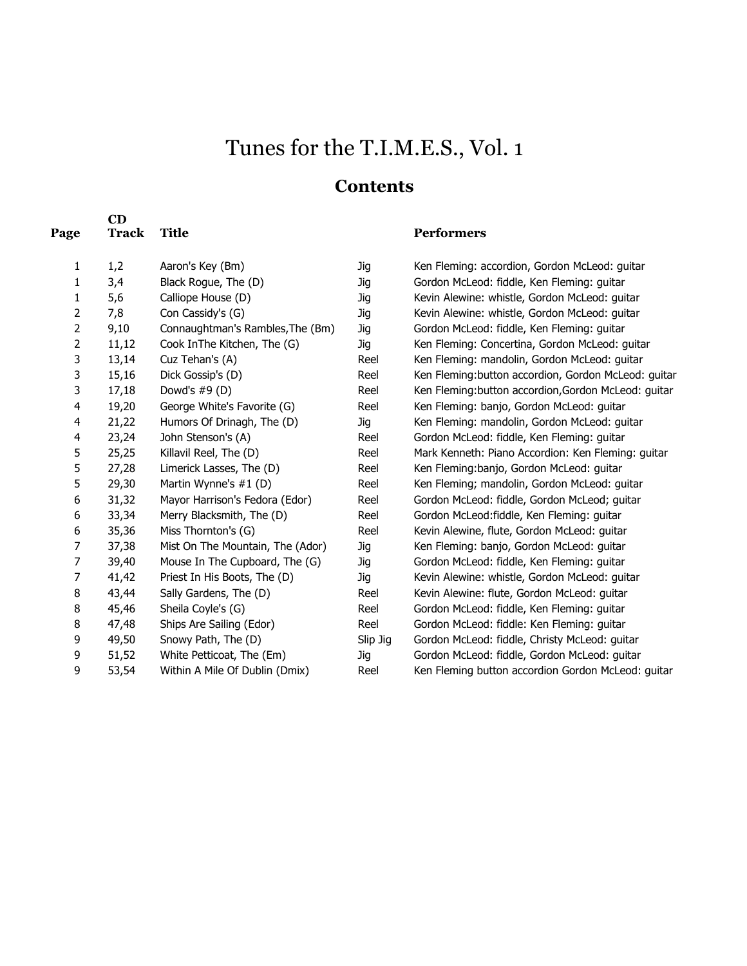# Tunes for the T.I.M.E.S., Vol. 1

#### **Contents**

| Page           | $\mathbf{CD}$<br><b>Track</b> | <b>Title</b>                     |            | <b>Performers</b> |
|----------------|-------------------------------|----------------------------------|------------|-------------------|
| 1              | 1,2                           | Aaron's Key (Bm)                 | Jig        | Ken Fleming: a    |
| 1              | 3,4                           | Black Rogue, The (D)             | <b>Jig</b> | Gordon McLeoc     |
| 1              | 5,6                           | Calliope House (D)               | <b>Jig</b> | Kevin Alewine:    |
| 2              | 7,8                           | Con Cassidy's (G)                | <b>Jig</b> | Kevin Alewine:    |
| $\overline{c}$ | 9,10                          | Connaughtman's Rambles, The (Bm) | <b>Jig</b> | Gordon McLeoc     |
| $\overline{c}$ | 11,12                         | Cook InThe Kitchen, The (G)      | <b>Jig</b> | Ken Fleming: C    |
| 3              | 13,14                         | Cuz Tehan's (A)                  | Reel       | Ken Fleming: m    |
| 3              | 15,16                         | Dick Gossip's (D)                | Reel       | Ken Fleming:bu    |
| 3              | 17,18                         | Dowd's $#9$ (D)                  | Reel       | Ken Fleming:bu    |
| 4              | 19,20                         | George White's Favorite (G)      | Reel       | Ken Fleming: b    |
| 4              | 21,22                         | Humors Of Drinagh, The (D)       | Jig        | Ken Fleming: m    |
| 4              | 23,24                         | John Stenson's (A)               | Reel       | Gordon McLeoc     |
| 5              | 25,25                         | Killavil Reel, The (D)           | Reel       | Mark Kenneth:     |
| 5              | 27,28                         | Limerick Lasses, The (D)         | Reel       | Ken Fleming:ba    |
| 5              | 29,30                         | Martin Wynne's #1 (D)            | Reel       | Ken Fleming; m    |
| 6              | 31,32                         | Mayor Harrison's Fedora (Edor)   | Reel       | Gordon McLeoc     |
| 6              | 33,34                         | Merry Blacksmith, The (D)        | Reel       | Gordon McLeoc     |
| 6              | 35,36                         | Miss Thornton's (G)              | Reel       | Kevin Alewine,    |
| 7              | 37,38                         | Mist On The Mountain, The (Ador) | Jig        | Ken Fleming: b    |
| 7              | 39,40                         | Mouse In The Cupboard, The (G)   | Jig        | Gordon McLeoc     |
| 7              | 41,42                         | Priest In His Boots, The (D)     | Jig        | Kevin Alewine:    |
| 8              | 43,44                         | Sally Gardens, The (D)           | Reel       | Kevin Alewine:    |
| 8              | 45,46                         | Sheila Coyle's (G)               | Reel       | Gordon McLeoc     |
| 8              | 47,48                         | Ships Are Sailing (Edor)         | Reel       | Gordon McLeoc     |
| 9              | 49,50                         | Snowy Path, The (D)              | Slip Jig   | Gordon McLeoc     |
| 9              | 51,52                         | White Petticoat, The (Em)        | <b>Jig</b> | Gordon McLeoc     |
| 9              | 53,54                         | Within A Mile Of Dublin (Dmix)   | Reel       | Ken Fleming bu    |
|                |                               |                                  |            |                   |

Jig Ken Fleming: accordion, Gordon McLeod: guitar Jig Gordon McLeod: fiddle, Ken Fleming: guitar Jig Kevin Alewine: whistle, Gordon McLeod: guitar Jig Kevin Alewine: whistle, Gordon McLeod: guitar Jig Gordon McLeod: fiddle, Ken Fleming: guitar Jig Ken Fleming: Concertina, Gordon McLeod: guitar Reel Ken Fleming: mandolin, Gordon McLeod: guitar Reel Ken Fleming: button accordion, Gordon McLeod: guitar Reel Ken Fleming: button accordion, Gordon McLeod: guitar Reel Ken Fleming: banjo, Gordon McLeod: guitar Jig Ken Fleming: mandolin, Gordon McLeod: guitar Reel Gordon McLeod: fiddle, Ken Fleming: guitar Reel Mark Kenneth: Piano Accordion: Ken Fleming: guitar Reel Ken Fleming:banjo, Gordon McLeod: guitar Reel Ken Fleming; mandolin, Gordon McLeod: guitar Reel Gordon McLeod: fiddle, Gordon McLeod; guitar Reel Gordon McLeod:fiddle, Ken Fleming: guitar Reel Kevin Alewine, flute, Gordon McLeod: guitar Jig Ken Fleming: banjo, Gordon McLeod: guitar Jig Gordon McLeod: fiddle, Ken Fleming: guitar Jig Kevin Alewine: whistle, Gordon McLeod: guitar Reel Kevin Alewine: flute, Gordon McLeod: guitar Reel Gordon McLeod: fiddle, Ken Fleming: guitar Reel Gordon McLeod: fiddle: Ken Fleming: guitar Slip Jig Gordon McLeod: fiddle, Christy McLeod: guitar Jig Gordon McLeod: fiddle, Gordon McLeod: guitar Reel Ken Fleming button accordion Gordon McLeod: guitar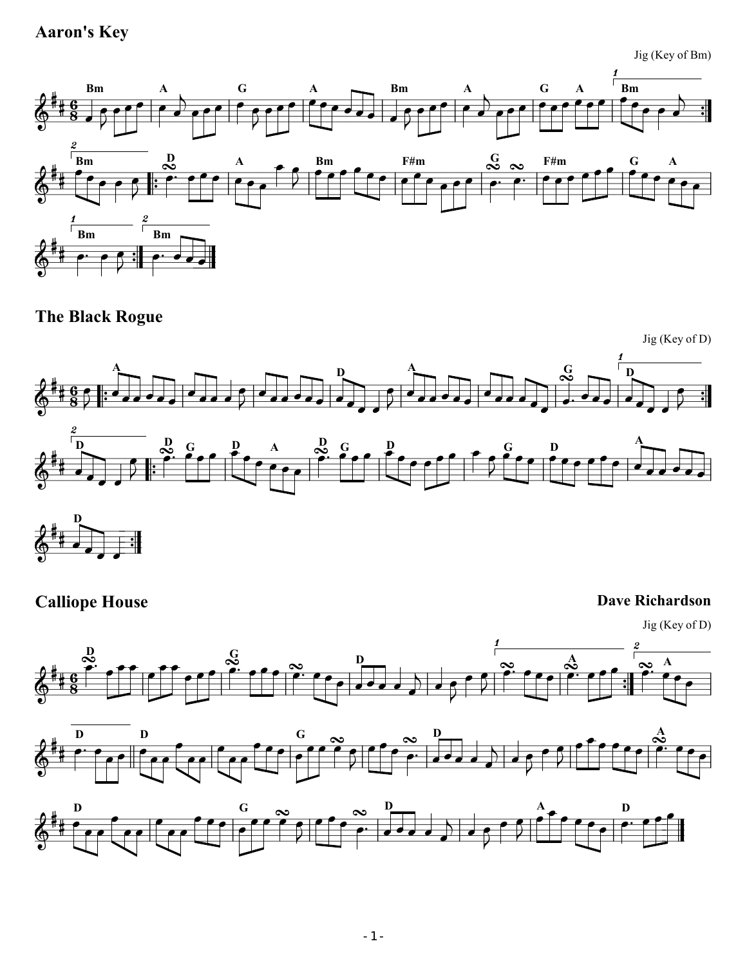# Aaron's Key

Jig (Key of Bm)



The Black Rogue



# **Calliope House** Dave Richardson

Jig (Key of D)





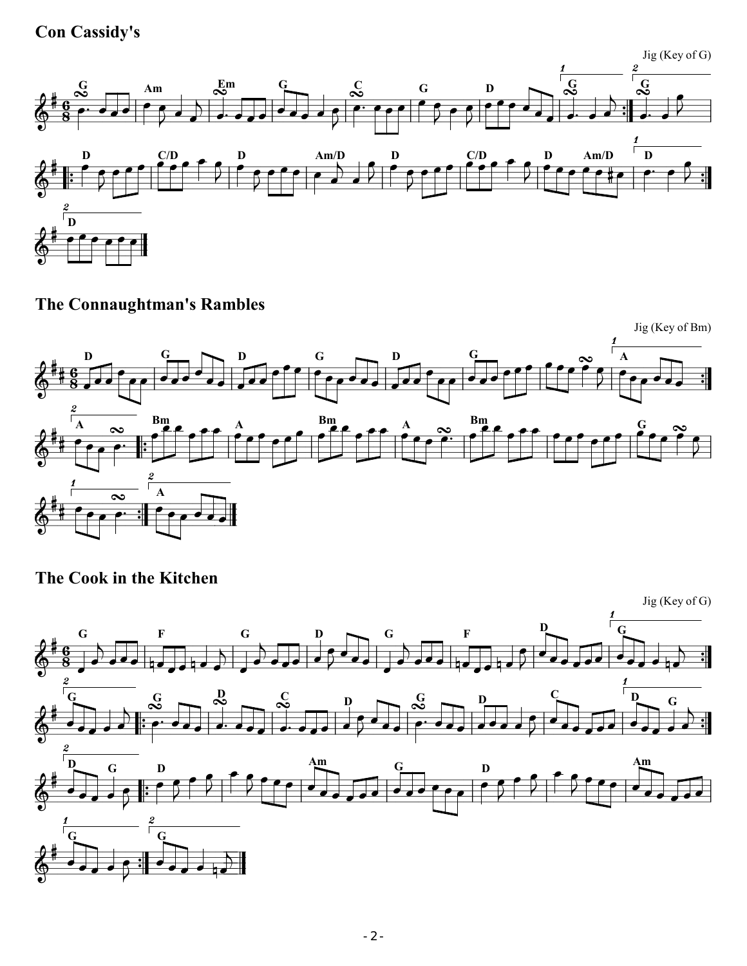Con Cassidy's

Jig (Key of G)



The Connaughtman's Rambles



The Cook in the Kitchen

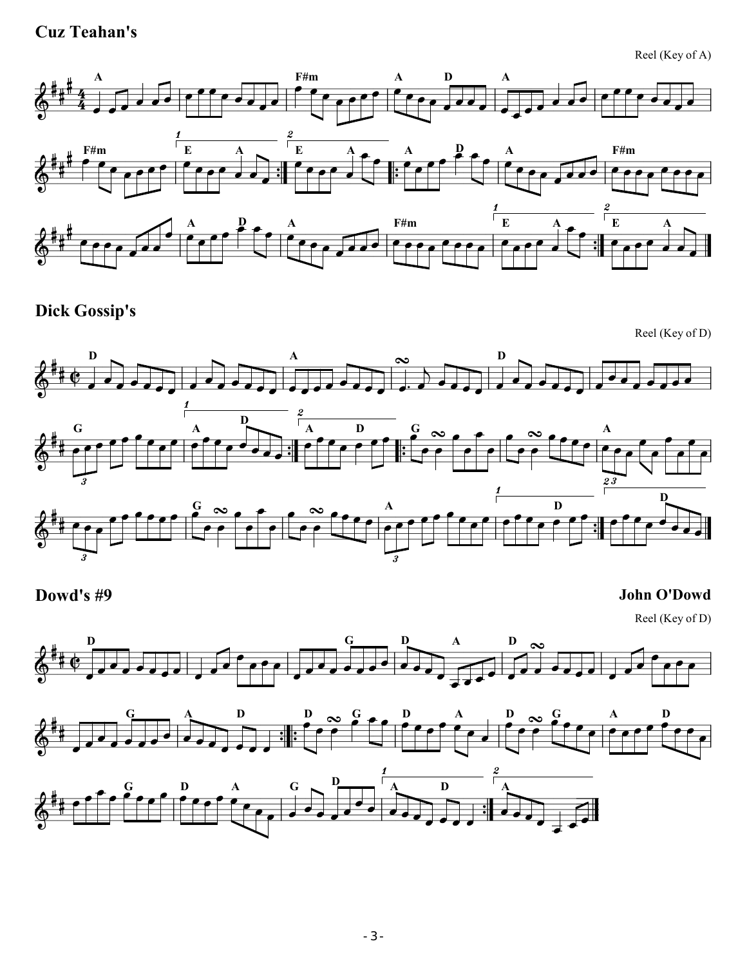### Cuz Teahan's

Reel (Key of A)



Dick Gossip's

Reel (Key of D)



#### Dowd's #9 John O'Dowd

Reel (Key of D)

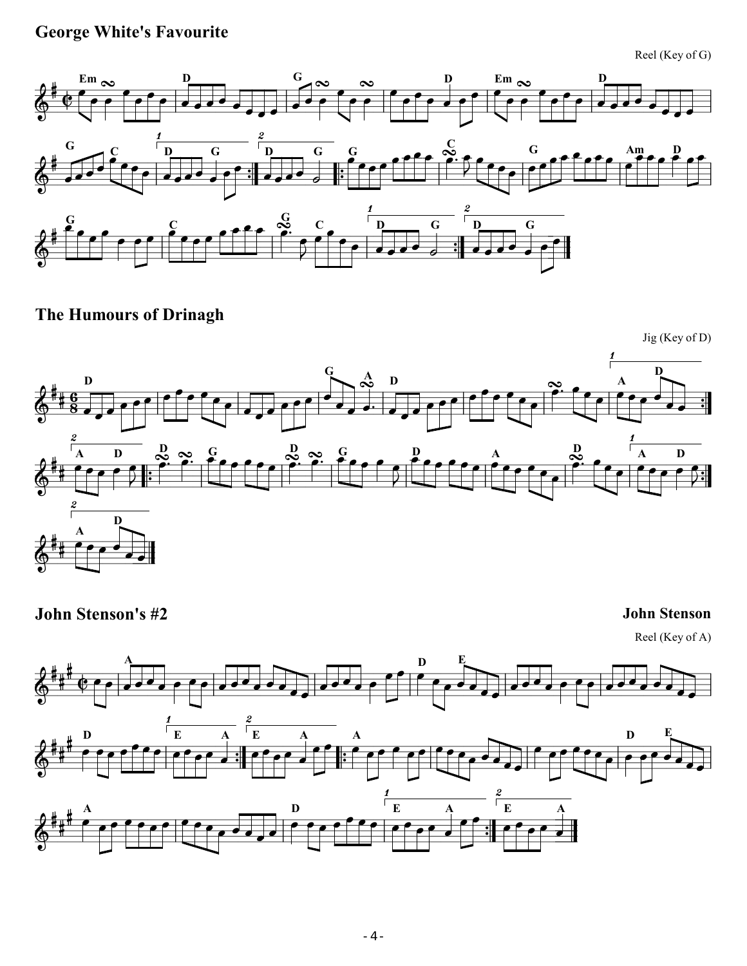# George White's Favourite

Reel (Key of G)



The Humours of Drinagh



John Stenson's #2 John Stenson

Reel (Key of A)

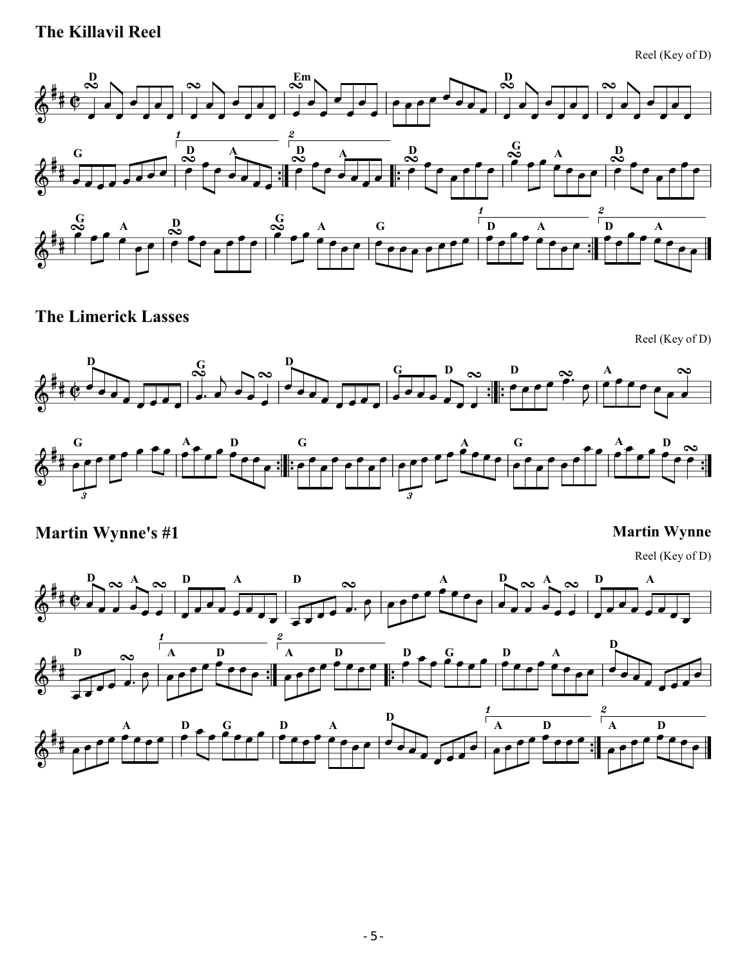# The Killavil Reel

Reel (Key of D)



The Limerick Lasses

Reel (Key of D)





Martin Wynne's #1 Martin Wynne

Reel (Key of D)

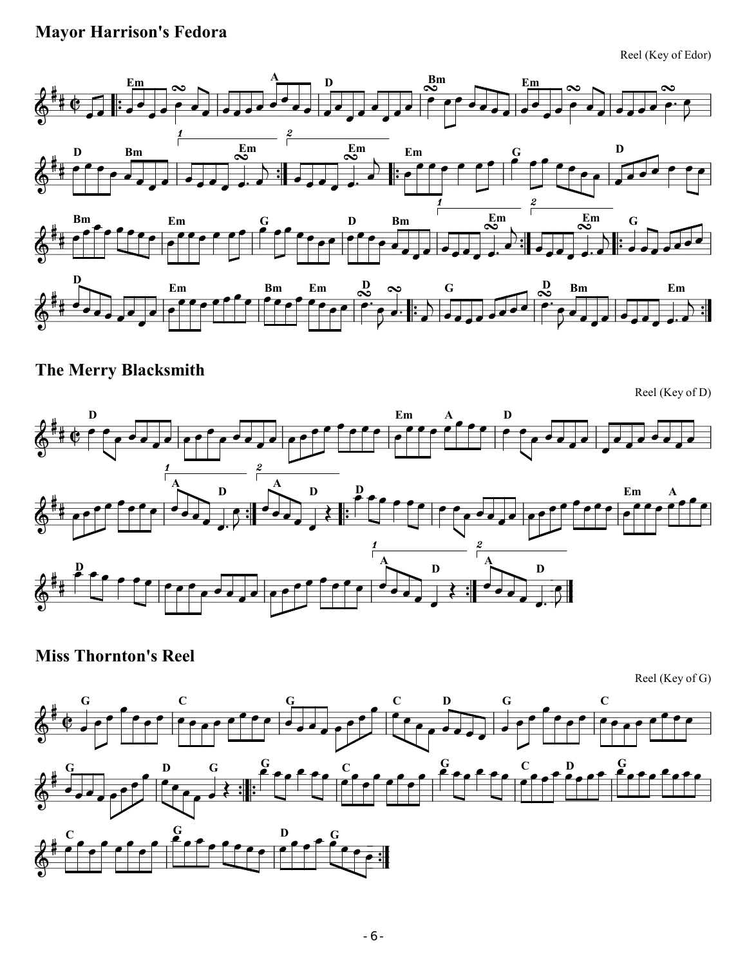## Mayor Harrison's Fedora

Reel (Key of Edor)



### The Merry Blacksmith

Reel (Key of D)



Miss Thornton's Reel

Reel (Key of G)

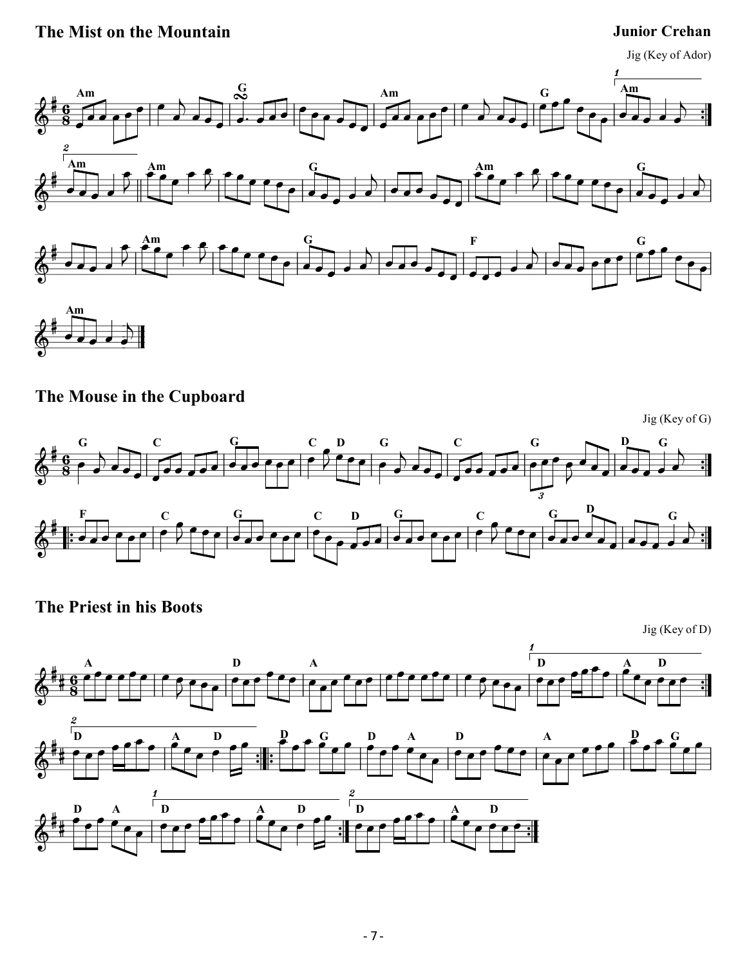### The Mist on the Mountain Junior Crehan



The Mouse in the Cupboard

Jig (Key of G)  $\frac{\partial H}{\partial s}$   $\frac{G}{s}$  ,  $\frac{G}{s}$  ,  $\frac{G}{s}$  ,  $\frac{G}{s}$  ,  $\frac{G}{s}$  ,  $\frac{G}{s}$  ,  $\frac{G}{s}$  ,  $\frac{G}{s}$  ,  $\frac{G}{s}$  ,  $\frac{G}{s}$  $\frac{6}{8}$  $\overline{\epsilon}$ G  $\frac{1}{\sqrt{2}}$  $\frac{1}{\sqrt{2}}$  $\overline{\cdot}$ C  $\overline{\phantom{a}}$ İ  $\overline{\phantom{a}}$ G  $\overline{\cdot}$ İ  $\frac{1}{\sqrt{2}}$ C R "<br>"' D  $\overline{\epsilon}$ G d.,  $\frac{1}{\sqrt{2}}$  $\overline{\cdot}$ C  $\overline{\phantom{a}}$ İ  $\frac{1}{\sqrt{2}}$ ļ G  $\overline{\mathsf{R}}$  $\overline{\phantom{a}}$  $\frac{1}{\epsilon}$ .,  $\overline{\mathbf{D}}$  $\blacksquare$ G  $\mathbf{P}$  :  $\frac{\partial}{\partial t}$  is a contract of the contract of the  $\frac{1}{2}$   $\frac{1}{2}$   $\frac{1}{2}$   $\frac{1}{2}$ Ë  $\overline{\cdot}$  ,  $\overline{\cdot}$ F  $\overline{\mathbf{f}^{\prime}}$ İ  $\overline{\epsilon}$  $\mathbf C$  $\mathbf{f}$  $\overline{\mathbf{r}}$   $\overline{\cdot}$  ,  $\overline{\cdot}$ G İ  $\mathbf C$  $\overline{\cdot}$ D İ  $\overline{\cdot}$  . G  $\overline{\mathbf{f}^{\prime}}$   $\overline{\epsilon}$  $\mathbf C$  $\mathbf{f}$  $\overline{\mathbf{r}}$ İ  $\overline{\cdot}$  ,  $\overline{\cdot}$ G  $\overline{\phantom{a}}$  $\overline{\phantom{a}}$  $\overline{\phantom{a}}$ D İ  $\overrightarrow{e}$ G

The Priest in his Boots



 $\frac{\Delta}{\frac{1}{2}}$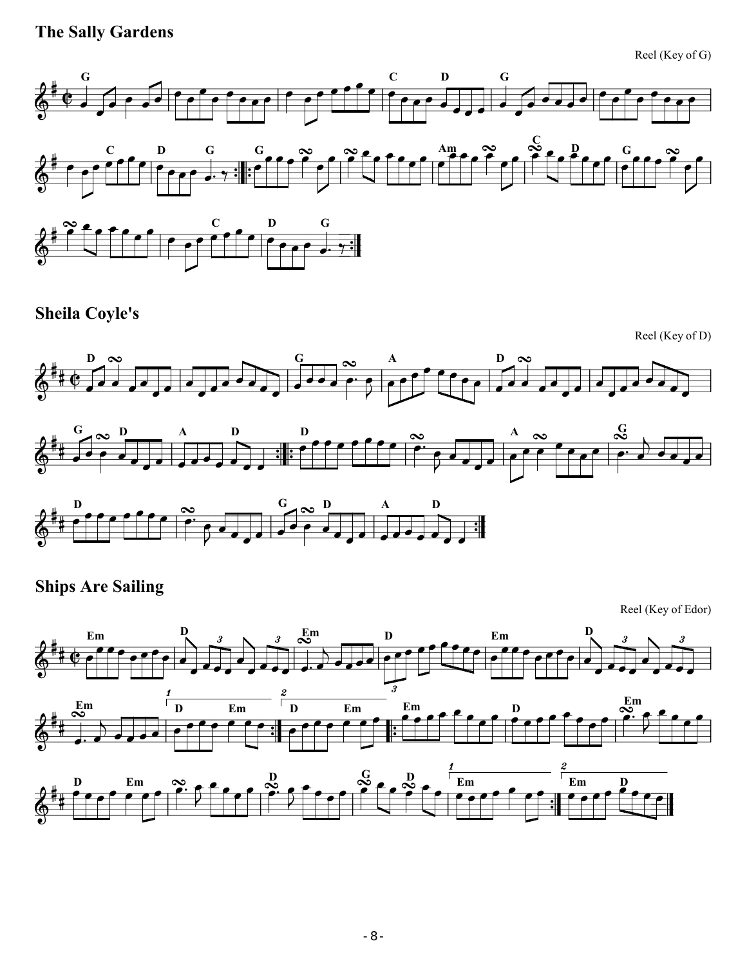# The Sally Gardens

Reel (Key of G)



i<br>1



### Sheila Coyle's



 $\parallel$ 







# Ships Are Sailing

Reel (Key of Edor)